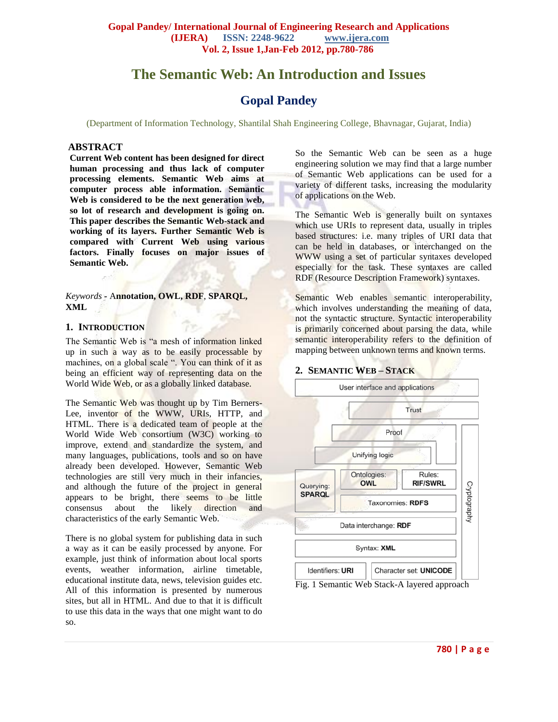# **The Semantic Web: An Introduction and Issues**

## **Gopal Pandey**

(Department of Information Technology, Shantilal Shah Engineering College, Bhavnagar, Gujarat, India)

#### **ABSTRACT**

**Current Web content has been designed for direct human processing and thus lack of computer processing elements. Semantic Web aims at computer process able information. Semantic Web is considered to be the next generation web, so lot of research and development is going on. This paper describes the Semantic Web-stack and working of its layers. Further Semantic Web is compared with Current Web using various factors. Finally focuses on major issues of Semantic Web.**

*Keywords* **-** A**nnotation, OWL, RDF**, **SPARQL, XML**

## **1. INTRODUCTION**

The Semantic Web is "a mesh of information linked up in such a way as to be easily processable by machines, on a global scale ". You can think of it as being an efficient way of representing data on the World Wide Web, or as a globally linked database.

The Semantic Web was thought up by Tim Berners-Lee, inventor of the WWW, URIs, HTTP, and HTML. There is a dedicated team of people at the World Wide Web consortium (W3C) working to improve, extend and standardize the system, and many languages, publications, tools and so on have already been developed. However, Semantic Web technologies are still very much in their infancies, and although the future of the project in general appears to be bright, there seems to be little consensus about the likely direction and characteristics of the early Semantic Web.

There is no global system for publishing data in such a way as it can be easily processed by anyone. For example, just think of information about local sports events, weather information, airline timetable, educational institute data, news, television guides etc. All of this information is presented by numerous sites, but all in HTML. And due to that it is difficult to use this data in the ways that one might want to do so.

So the Semantic Web can be seen as a huge engineering solution we may find that a large number of Semantic Web applications can be used for a variety of different tasks, increasing the modularity of applications on the Web.

The Semantic Web is generally built on syntaxes which use URIs to represent data, usually in triples based structures: i.e. many triples of URI data that can be held in databases, or interchanged on the WWW using a set of particular syntaxes developed especially for the task. These syntaxes are called RDF (Resource Description Framework) syntaxes.

Semantic Web enables semantic interoperability, which involves understanding the meaning of data, not the syntactic structure. Syntactic interoperability is primarily concerned about parsing the data, while semantic interoperability refers to the definition of mapping between unknown terms and known terms.

#### **2. SEMANTIC WEB – STACK**

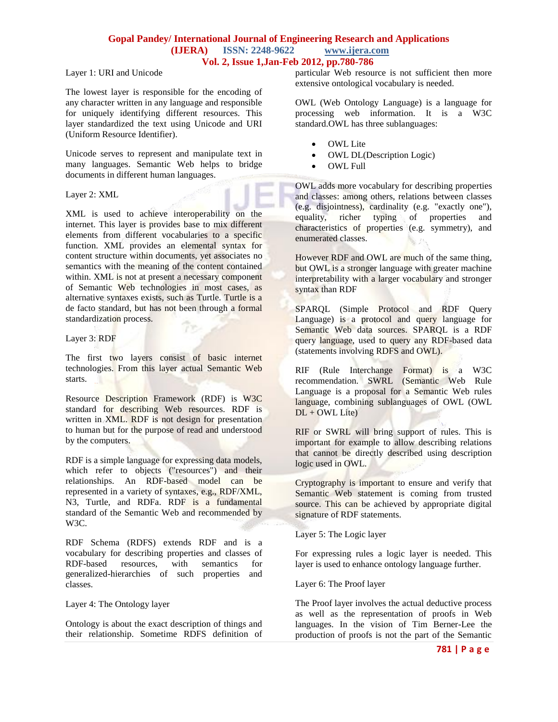Layer 1: URI and Unicode

The lowest layer is responsible for the encoding of any character written in any language and responsible for uniquely identifying different resources. This layer standardized the text using Unicode and URI (Uniform Resource Identifier).

Unicode serves to represent and manipulate text in many languages. Semantic Web helps to bridge documents in different human languages.

Layer 2: XML

XML is used to achieve interoperability on the internet. This layer is provides base to mix different elements from different vocabularies to a specific function. XML provides an elemental syntax for content structure within documents, yet associates no semantics with the meaning of the content contained within. XML is not at present a necessary component of Semantic Web technologies in most cases, as alternative syntaxes exists, such as Turtle. Turtle is a de facto standard, but has not been through a formal standardization process.

#### Layer 3: RDF

The first two layers consist of basic internet technologies. From this layer actual Semantic Web starts.

Resource Description Framework (RDF) is W3C standard for describing Web resources. RDF is written in XML. RDF is not design for presentation to human but for the purpose of read and understood by the computers.

RDF is a simple language for expressing data models, which refer to objects ("resources") and their relationships. An RDF-based model can be represented in a variety of syntaxes, e.g., RDF/XML, N3, Turtle, and RDFa. RDF is a fundamental standard of the Semantic Web and recommended by W3C.

RDF Schema (RDFS) extends RDF and is a vocabulary for describing properties and classes of RDF-based resources, with semantics for generalized-hierarchies of such properties and classes.

Layer 4: The Ontology layer

Ontology is about the exact description of things and their relationship. Sometime RDFS definition of particular Web resource is not sufficient then more extensive ontological vocabulary is needed.

OWL (Web Ontology Language) is a language for processing web information. It is a W3C standard.OWL has three sublanguages:

- OWL Lite
- OWL DL(Description Logic)
- OWL Full

OWL adds more vocabulary for describing properties and classes: among others, relations between classes (e.g. disjointness), cardinality (e.g. "exactly one"), equality, richer typing of properties and characteristics of properties (e.g. symmetry), and enumerated classes.

However RDF and OWL are much of the same thing, but OWL is a stronger language with greater machine interpretability with a larger vocabulary and stronger syntax than RDF

SPARQL (Simple Protocol and RDF Query Language) is a protocol and query language for Semantic Web data sources. SPARQL is a RDF query language, used to query any RDF-based data (statements involving RDFS and OWL).

RIF (Rule Interchange Format) is a W3C recommendation. SWRL (Semantic Web Rule Language is a proposal for a Semantic Web rules language, combining sublanguages of OWL (OWL  $DL + OWL$  Lite)

RIF or SWRL will bring support of rules. This is important for example to allow describing relations that cannot be directly described using description logic used in OWL.

Cryptography is important to ensure and verify that Semantic Web statement is coming from trusted source. This can be achieved by appropriate digital signature of RDF statements.

Layer 5: The Logic layer

For expressing rules a logic layer is needed. This layer is used to enhance ontology language further.

Layer 6: The Proof layer

The Proof layer involves the actual deductive process as well as the representation of proofs in Web languages. In the vision of Tim Berner-Lee the production of proofs is not the part of the Semantic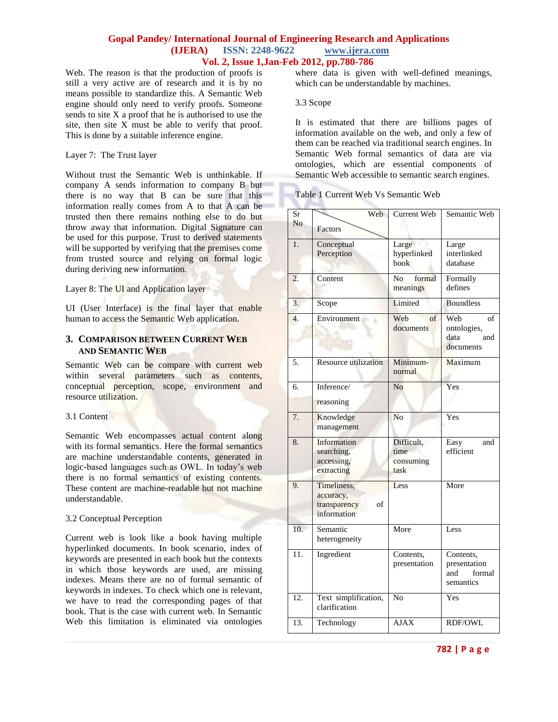Web. The reason is that the production of proofs is still a very active are of research and it is by no means possible to standardize this. A Semantic Web engine should only need to verify proofs. Someone sends to site  $X$  a proof that he is authorised to use the site, then site X must be able to verify that proof. This is done by a suitable inference engine.

#### Layer 7: The Trust layer

Without trust the Semantic Web is unthinkable. If company A sends information to company B but there is no way that B can be sure that this information really comes from A to that A can be trusted then there remains nothing else to do but throw away that information. Digital Signature can be used for this purpose. Trust to derived statements will be supported by verifying that the premises come from trusted source and relying on formal logic during deriving new information.

Layer 8: The UI and Application layer

UI (User Interface) is the final layer that enable human to access the Semantic Web application.

## **3. COMPARISON BETWEEN CURRENT WEB AND SEMANTIC WEB**

Semantic Web can be compare with current web within several parameters such as contents, conceptual perception, scope, environment and resource utilization.

#### 3.1 Content

Semantic Web encompasses actual content along with its formal semantics. Here the formal semantics are machine understandable contents, generated in logic-based languages such as OWL. In today's web there is no formal semantics of existing contents. These content are machine-readable but not machine understandable.

#### 3.2 Conceptual Perception

Current web is look like a book having multiple hyperlinked documents. In book scenario, index of keywords are presented in each book but the contexts in which those keywords are used, are missing indexes. Means there are no of formal semantic of keywords in indexes. To check which one is relevant, we have to read the corresponding pages of that book. That is the case with current web. In Semantic Web this limitation is eliminated via ontologies

where data is given with well-defined meanings, which can be understandable by machines.

#### 3.3 Scope

It is estimated that there are billions pages of information available on the web, and only a few of them can be reached via traditional search engines. In Semantic Web formal semantics of data are via ontologies, which are essential components of Semantic Web accessible to semantic search engines.

#### Table 1 Current Web Vs Semantic Web

| Sr<br>No          | Web                               | Current Web              | Semantic Web               |
|-------------------|-----------------------------------|--------------------------|----------------------------|
|                   | Factors                           |                          |                            |
| 1.                | Conceptual                        | Large                    | Large                      |
|                   | Perception                        | hyperlinked<br>book      | interlinked<br>database    |
|                   |                                   |                          |                            |
| 2.                | Content                           | formal<br>N <sub>0</sub> | Formally<br>defines        |
|                   |                                   | meanings                 |                            |
| 3.                | Scope                             | Limited                  | <b>Boundless</b>           |
| $\overline{4}$ .  | Environment                       | Web<br>$\sigma$ f        | Web<br>of                  |
|                   |                                   | documents                | ontologies,<br>data<br>and |
|                   |                                   |                          | documents                  |
| 5.                | <b>Resource utilization</b>       | Minimum-                 | Maximum                    |
|                   |                                   | normal                   |                            |
| 6.                | Inference/                        | N <sub>0</sub>           | Yes                        |
|                   | reasoning                         |                          |                            |
| 7.                | Knowledge                         | No                       | Yes                        |
|                   | management                        |                          |                            |
| 8.                | Information                       | Difficult,               | Easy<br>and                |
|                   | searching,<br>accessing,          | time<br>consuming        | efficient                  |
|                   | extracting                        | task                     |                            |
| 9.                | Timeliness,                       | Less                     | More                       |
|                   | accuracy,                         |                          |                            |
|                   | transparency<br>of<br>information |                          |                            |
|                   |                                   |                          |                            |
| 10.               | Semantic<br>heterogeneity         | More                     | Less                       |
| 11.               | Ingredient                        | Contents,                | Contents,                  |
|                   |                                   | presentation             | presentation               |
|                   |                                   |                          | formal<br>and              |
|                   |                                   |                          | semantics                  |
| $\overline{12}$ . | Text simplification,              | $\overline{No}$          | Yes                        |
|                   | clarification                     |                          |                            |
| 13.               | Technology                        | <b>AJAX</b>              | <b>RDF/OWL</b>             |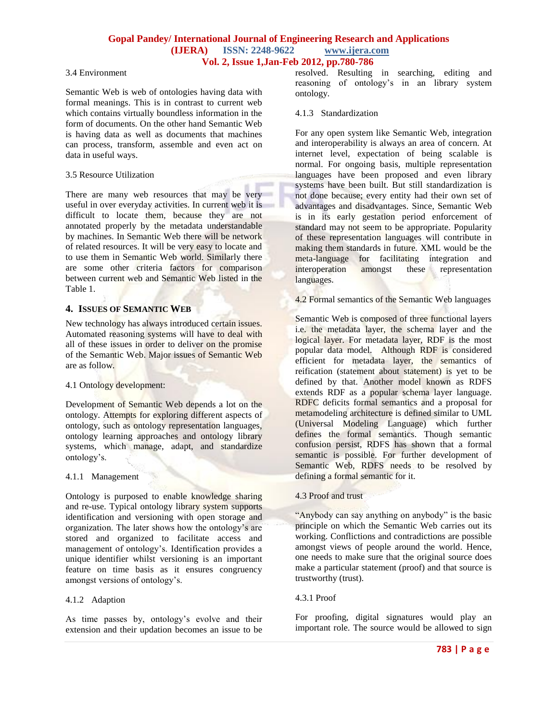#### 3.4 Environment

Semantic Web is web of ontologies having data with formal meanings. This is in contrast to current web which contains virtually boundless information in the form of documents. On the other hand Semantic Web is having data as well as documents that machines can process, transform, assemble and even act on data in useful ways.

## 3.5 Resource Utilization

There are many web resources that may be very useful in over everyday activities. In current web it is difficult to locate them, because they are not annotated properly by the metadata understandable by machines. In Semantic Web there will be network of related resources. It will be very easy to locate and to use them in Semantic Web world. Similarly there are some other criteria factors for comparison between current web and Semantic Web listed in the Table 1.

## **4. ISSUES OF SEMANTIC WEB**

New technology has always introduced certain issues. Automated reasoning systems will have to deal with all of these issues in order to deliver on the promise of the Semantic Web. Major issues of Semantic Web are as follow.

#### 4.1 Ontology development:

Development of Semantic Web depends a lot on the ontology. Attempts for exploring different aspects of ontology, such as ontology representation languages, ontology learning approaches and ontology library systems, which manage, adapt, and standardize ontology's.

#### 4.1.1 Management

Ontology is purposed to enable knowledge sharing and re-use. Typical ontology library system supports identification and versioning with open storage and organization. The later shows how the ontology's are stored and organized to facilitate access and management of ontology's. Identification provides a unique identifier whilst versioning is an important feature on time basis as it ensures congruency amongst versions of ontology's.

## 4.1.2 Adaption

As time passes by, ontology's evolve and their extension and their updation becomes an issue to be resolved. Resulting in searching, editing and reasoning of ontology's in an library system ontology.

### 4.1.3 Standardization

For any open system like Semantic Web, integration and interoperability is always an area of concern. At internet level, expectation of being scalable is normal. For ongoing basis, multiple representation languages have been proposed and even library systems have been built. But still standardization is not done because; every entity had their own set of advantages and disadvantages. Since, Semantic Web is in its early gestation period enforcement of standard may not seem to be appropriate. Popularity of these representation languages will contribute in making them standards in future. XML would be the meta-language for facilitating integration and interoperation amongst these representation languages.

4.2 Formal semantics of the Semantic Web languages

Semantic Web is composed of three functional layers i.e. the metadata layer, the schema layer and the logical layer. For metadata layer, RDF is the most popular data model. Although RDF is considered efficient for metadata layer, the semantics of reification (statement about statement) is yet to be defined by that. Another model known as RDFS extends RDF as a popular schema layer language. RDFC deficits formal semantics and a proposal for metamodeling architecture is defined similar to UML (Universal Modeling Language) which further defines the formal semantics. Though semantic confusion persist, RDFS has shown that a formal semantic is possible. For further development of Semantic Web, RDFS needs to be resolved by defining a formal semantic for it.

## 4.3 Proof and trust

"Anybody can say anything on anybody" is the basic principle on which the Semantic Web carries out its working. Conflictions and contradictions are possible amongst views of people around the world. Hence, one needs to make sure that the original source does make a particular statement (proof) and that source is trustworthy (trust).

## 4.3.1 Proof

For proofing, digital signatures would play an important role. The source would be allowed to sign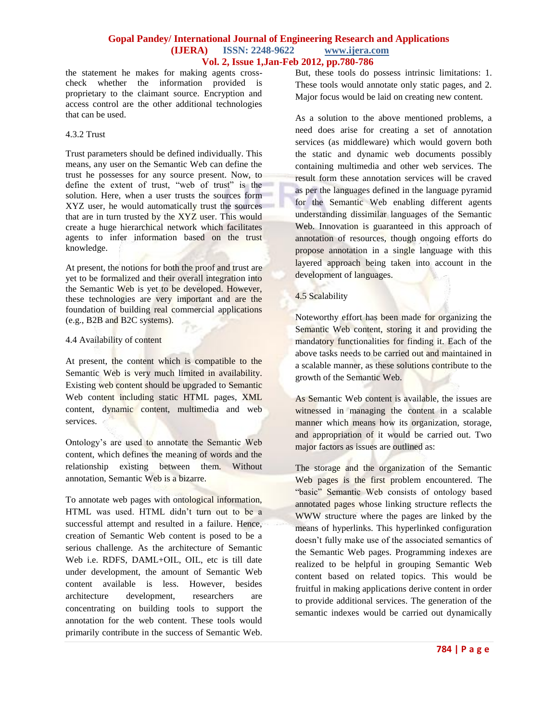the statement he makes for making agents crosscheck whether the information provided is proprietary to the claimant source. Encryption and access control are the other additional technologies that can be used.

#### 4.3.2 Trust

Trust parameters should be defined individually. This means, any user on the Semantic Web can define the trust he possesses for any source present. Now, to define the extent of trust, "web of trust" is the solution. Here, when a user trusts the sources form XYZ user, he would automatically trust the sources that are in turn trusted by the XYZ user. This would create a huge hierarchical network which facilitates agents to infer information based on the trust knowledge.

At present, the notions for both the proof and trust are yet to be formalized and their overall integration into the Semantic Web is yet to be developed. However, these technologies are very important and are the foundation of building real commercial applications (e.g., B2B and B2C systems).

### 4.4 Availability of content

At present, the content which is compatible to the Semantic Web is very much limited in availability. Existing web content should be upgraded to Semantic Web content including static HTML pages, XML content, dynamic content, multimedia and web services.

Ontology's are used to annotate the Semantic Web content, which defines the meaning of words and the relationship existing between them. Without annotation, Semantic Web is a bizarre.

To annotate web pages with ontological information, HTML was used. HTML didn't turn out to be a successful attempt and resulted in a failure. Hence, creation of Semantic Web content is posed to be a serious challenge. As the architecture of Semantic Web i.e. RDFS, DAML+OIL, OIL, etc is till date under development, the amount of Semantic Web content available is less. However, besides architecture development, researchers are concentrating on building tools to support the annotation for the web content. These tools would primarily contribute in the success of Semantic Web.

But, these tools do possess intrinsic limitations: 1. These tools would annotate only static pages, and 2. Major focus would be laid on creating new content.

As a solution to the above mentioned problems, a need does arise for creating a set of annotation services (as middleware) which would govern both the static and dynamic web documents possibly containing multimedia and other web services. The result form these annotation services will be craved as per the languages defined in the language pyramid for the Semantic Web enabling different agents understanding dissimilar languages of the Semantic Web. Innovation is guaranteed in this approach of annotation of resources, though ongoing efforts do propose annotation in a single language with this layered approach being taken into account in the development of languages.

### 4.5 Scalability

Noteworthy effort has been made for organizing the Semantic Web content, storing it and providing the mandatory functionalities for finding it. Each of the above tasks needs to be carried out and maintained in a scalable manner, as these solutions contribute to the growth of the Semantic Web.

As Semantic Web content is available, the issues are witnessed in managing the content in a scalable manner which means how its organization, storage, and appropriation of it would be carried out. Two major factors as issues are outlined as:

The storage and the organization of the Semantic Web pages is the first problem encountered. The "basic" Semantic Web consists of ontology based annotated pages whose linking structure reflects the WWW structure where the pages are linked by the means of hyperlinks. This hyperlinked configuration doesn't fully make use of the associated semantics of the Semantic Web pages. Programming indexes are realized to be helpful in grouping Semantic Web content based on related topics. This would be fruitful in making applications derive content in order to provide additional services. The generation of the semantic indexes would be carried out dynamically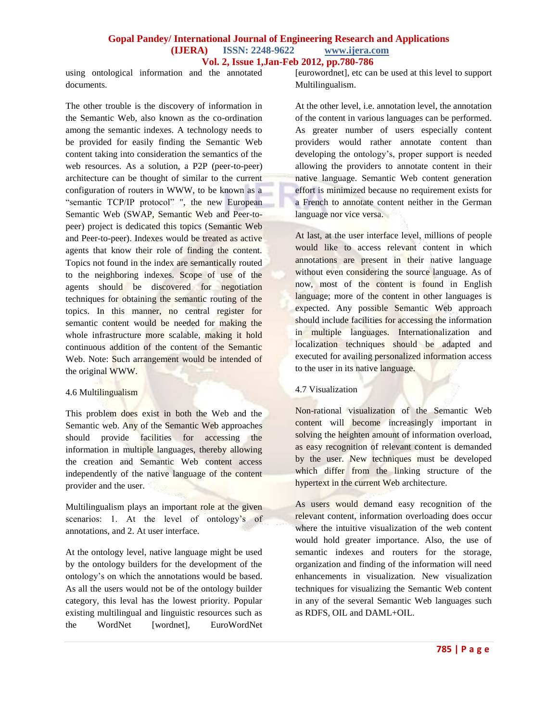using ontological information and the annotated documents.

The other trouble is the discovery of information in the Semantic Web, also known as the co-ordination among the semantic indexes. A technology needs to be provided for easily finding the Semantic Web content taking into consideration the semantics of the web resources. As a solution, a P2P (peer-to-peer) architecture can be thought of similar to the current configuration of routers in WWW, to be known as a "semantic TCP/IP protocol" ", the new European Semantic Web (SWAP, Semantic Web and Peer-topeer) project is dedicated this topics (Semantic Web and Peer-to-peer). Indexes would be treated as active agents that know their role of finding the content. Topics not found in the index are semantically routed to the neighboring indexes. Scope of use of the agents should be discovered for negotiation techniques for obtaining the semantic routing of the topics. In this manner, no central register for semantic content would be needed for making the whole infrastructure more scalable, making it hold continuous addition of the content of the Semantic Web. Note: Such arrangement would be intended of the original WWW.

#### 4.6 Multilingualism

This problem does exist in both the Web and the Semantic web. Any of the Semantic Web approaches should provide facilities for accessing the information in multiple languages, thereby allowing the creation and Semantic Web content access independently of the native language of the content provider and the user.

Multilingualism plays an important role at the given scenarios: 1. At the level of ontology's of annotations, and 2. At user interface.

At the ontology level, native language might be used by the ontology builders for the development of the ontology's on which the annotations would be based. As all the users would not be of the ontology builder category, this leval has the lowest priority. Popular existing multilingual and linguistic resources such as the WordNet [wordnet], EuroWordNet [eurowordnet], etc can be used at this level to support Multilingualism.

At the other level, i.e. annotation level, the annotation of the content in various languages can be performed. As greater number of users especially content providers would rather annotate content than developing the ontology's, proper support is needed allowing the providers to annotate content in their native language. Semantic Web content generation effort is minimized because no requirement exists for a French to annotate content neither in the German language nor vice versa.

At last, at the user interface level, millions of people would like to access relevant content in which annotations are present in their native language without even considering the source language. As of now, most of the content is found in English language; more of the content in other languages is expected. Any possible Semantic Web approach should include facilities for accessing the information in multiple languages. Internationalization and localization techniques should be adapted and executed for availing personalized information access to the user in its native language.

## 4.7 Visualization

Non-rational visualization of the Semantic Web content will become increasingly important in solving the heighten amount of information overload, as easy recognition of relevant content is demanded by the user. New techniques must be developed which differ from the linking structure of the hypertext in the current Web architecture.

As users would demand easy recognition of the relevant content, information overloading does occur where the intuitive visualization of the web content would hold greater importance. Also, the use of semantic indexes and routers for the storage, organization and finding of the information will need enhancements in visualization. New visualization techniques for visualizing the Semantic Web content in any of the several Semantic Web languages such as RDFS, OIL and DAML+OIL.